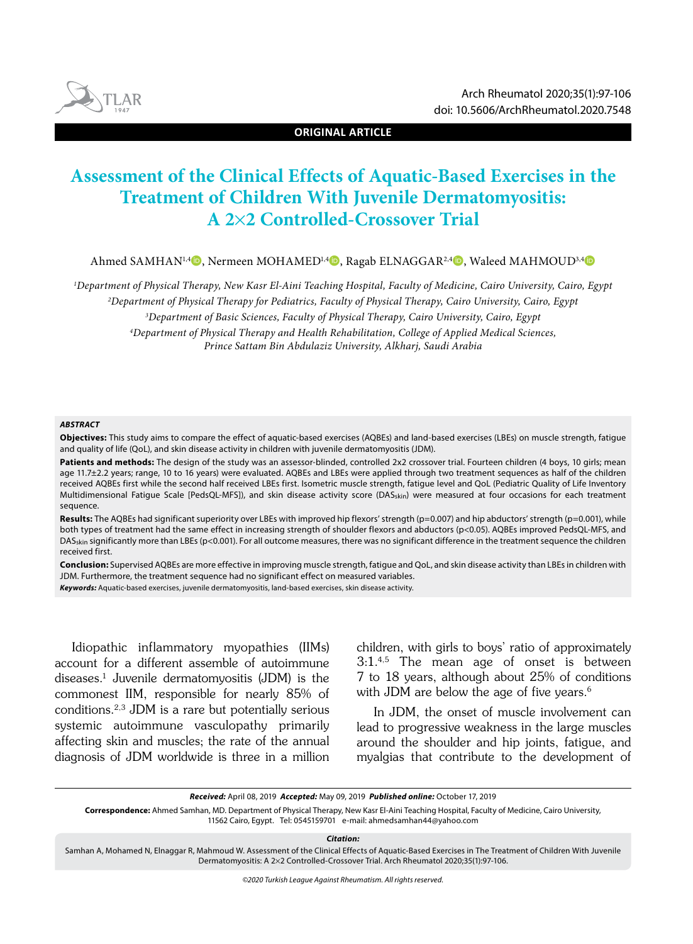

**ORIGINAL ARTICLE**

# **Assessment of the Clinical Effects of Aquatic-Based Exercises in the Treatment of Children With Juvenile Dermatomyositis: A 2**¥**2 Controlled-Crossover Trial**

Ahmed SAMHAN<sup>1,4</sup><sup>0</sup>, Nermeen MOHAMED<sup>1,4</sup><sup>0</sup>, Ragab ELNAGGAR<sup>2,4</sup><sup>0</sup>, Waleed MAHMOUD<sup>3,4</sup><sup>0</sup>

*1 Department of Physical Therapy, New Kasr El-Aini Teaching Hospital, Faculty of Medicine, Cairo University, Cairo, Egypt 2 Department of Physical Therapy for Pediatrics, Faculty of Physical Therapy, Cairo University, Cairo, Egypt*

*3 Department of Basic Sciences, Faculty of Physical Therapy, Cairo University, Cairo, Egypt 4 Department of Physical Therapy and Health Rehabilitation, College of Applied Medical Sciences, Prince Sattam Bin Abdulaziz University, Alkharj, Saudi Arabia*

#### *ABSTRACT*

**Objectives:** This study aims to compare the effect of aquatic-based exercises (AQBEs) and land-based exercises (LBEs) on muscle strength, fatigue and quality of life (QoL), and skin disease activity in children with juvenile dermatomyositis (JDM).

Patients and methods: The design of the study was an assessor-blinded, controlled 2x2 crossover trial. Fourteen children (4 boys, 10 girls; mean age 11.7±2.2 years; range, 10 to 16 years) were evaluated. AQBEs and LBEs were applied through two treatment sequences as half of the children received AQBEs first while the second half received LBEs first. Isometric muscle strength, fatigue level and QoL (Pediatric Quality of Life Inventory Multidimensional Fatigue Scale [PedsQL-MFS]), and skin disease activity score (DAS<sub>skin</sub>) were measured at four occasions for each treatment sequence.

Results: The AQBEs had significant superiority over LBEs with improved hip flexors' strength (p=0.007) and hip abductors' strength (p=0.001), while both types of treatment had the same effect in increasing strength of shoulder flexors and abductors (p<0.05). AQBEs improved PedsQL-MFS, and DAS<sub>skin</sub> significantly more than LBEs (p<0.001). For all outcome measures, there was no significant difference in the treatment sequence the children received first.

**Conclusion:** Supervised AQBEs are more effective in improving muscle strength, fatigue and QoL, and skin disease activity than LBEs in children with JDM. Furthermore, the treatment sequence had no significant effect on measured variables.

*Keywords:* Aquatic-based exercises, juvenile dermatomyositis, land-based exercises, skin disease activity.

Idiopathic inflammatory myopathies (IIMs) account for a different assemble of autoimmune diseases.1 Juvenile dermatomyositis (JDM) is the commonest IIM, responsible for nearly 85% of conditions.2,3 JDM is a rare but potentially serious systemic autoimmune vasculopathy primarily affecting skin and muscles; the rate of the annual diagnosis of JDM worldwide is three in a million children, with girls to boys' ratio of approximately 3:1.4,5 The mean age of onset is between 7 to 18 years, although about 25% of conditions with JDM are below the age of five years.<sup>6</sup>

In JDM, the onset of muscle involvement can lead to progressive weakness in the large muscles around the shoulder and hip joints, fatigue, and myalgias that contribute to the development of

*Received:* April 08, 2019 *Accepted:* May 09, 2019 *Published online:* October 17, 2019

**Correspondence:** Ahmed Samhan, MD. Department of Physical Therapy, New Kasr El-Aini Teaching Hospital, Faculty of Medicine, Cairo University, 11562 Cairo, Egypt. Tel: 0545159701 e-mail: ahmedsamhan44@yahoo.com

*Citation:*

Samhan A, Mohamed N, Elnaggar R, Mahmoud W. Assessment of the Clinical Effects of Aquatic-Based Exercises in The Treatment of Children With Juvenile Dermatomyositis: A 2¥2 Controlled-Crossover Trial. Arch Rheumatol 2020;35(1):97-106.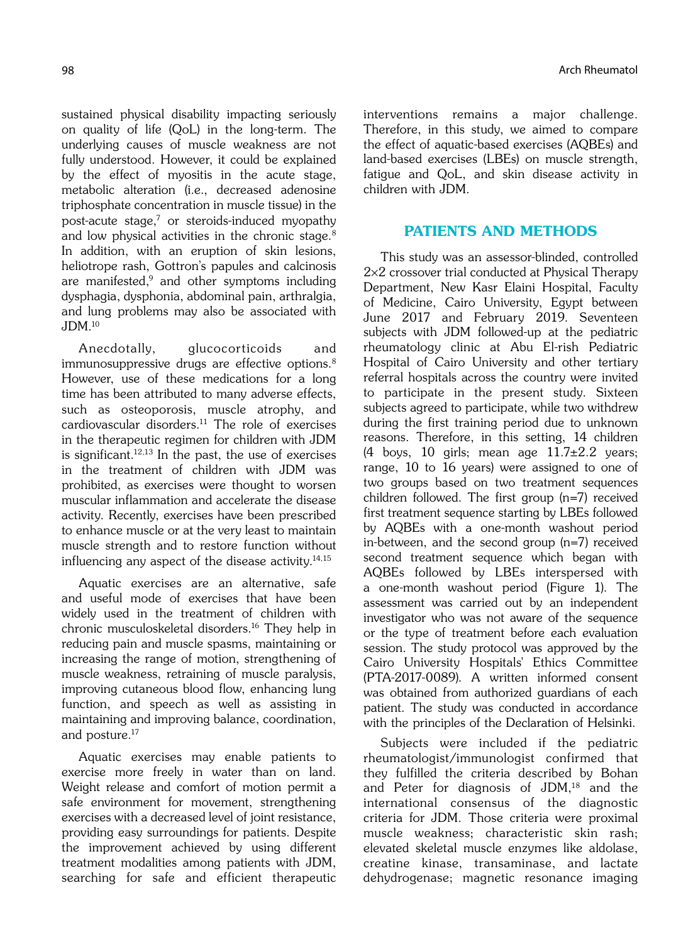sustained physical disability impacting seriously on quality of life (QoL) in the long-term. The underlying causes of muscle weakness are not fully understood. However, it could be explained by the effect of myositis in the acute stage, metabolic alteration (i.e., decreased adenosine triphosphate concentration in muscle tissue) in the post-acute stage,7 or steroids-induced myopathy and low physical activities in the chronic stage.<sup>8</sup> In addition, with an eruption of skin lesions, heliotrope rash, Gottron's papules and calcinosis are manifested, $9$  and other symptoms including dysphagia, dysphonia, abdominal pain, arthralgia, and lung problems may also be associated with  $JDM<sup>10</sup>$ 

Anecdotally, glucocorticoids and immunosuppressive drugs are effective options.<sup>8</sup> However, use of these medications for a long time has been attributed to many adverse effects, such as osteoporosis, muscle atrophy, and cardiovascular disorders. $11$  The role of exercises in the therapeutic regimen for children with JDM is significant. $12,13$  In the past, the use of exercises in the treatment of children with JDM was prohibited, as exercises were thought to worsen muscular inflammation and accelerate the disease activity. Recently, exercises have been prescribed to enhance muscle or at the very least to maintain muscle strength and to restore function without influencing any aspect of the disease activity. $14,15$ 

Aquatic exercises are an alternative, safe and useful mode of exercises that have been widely used in the treatment of children with chronic musculoskeletal disorders.16 They help in reducing pain and muscle spasms, maintaining or increasing the range of motion, strengthening of muscle weakness, retraining of muscle paralysis, improving cutaneous blood flow, enhancing lung function, and speech as well as assisting in maintaining and improving balance, coordination, and posture.<sup>17</sup>

Aquatic exercises may enable patients to exercise more freely in water than on land. Weight release and comfort of motion permit a safe environment for movement, strengthening exercises with a decreased level of joint resistance, providing easy surroundings for patients. Despite the improvement achieved by using different treatment modalities among patients with JDM, searching for safe and efficient therapeutic interventions remains a major challenge. Therefore, in this study, we aimed to compare the effect of aquatic-based exercises (AQBEs) and land-based exercises (LBEs) on muscle strength, fatigue and QoL, and skin disease activity in children with JDM.

# PATIENTS AND METHODS

This study was an assessor-blinded, controlled 2×2 crossover trial conducted at Physical Therapy Department, New Kasr Elaini Hospital, Faculty of Medicine, Cairo University, Egypt between June 2017 and February 2019. Seventeen subjects with JDM followed-up at the pediatric rheumatology clinic at Abu El-rish Pediatric Hospital of Cairo University and other tertiary referral hospitals across the country were invited to participate in the present study. Sixteen subjects agreed to participate, while two withdrew during the first training period due to unknown reasons. Therefore, in this setting, 14 children (4 boys, 10 girls; mean age  $11.7\pm2.2$  years; range, 10 to 16 years) were assigned to one of two groups based on two treatment sequences children followed. The first group (n=7) received first treatment sequence starting by LBEs followed by AQBEs with a one-month washout period in-between, and the second group (n=7) received second treatment sequence which began with AQBEs followed by LBEs interspersed with a one-month washout period (Figure 1). The assessment was carried out by an independent investigator who was not aware of the sequence or the type of treatment before each evaluation session. The study protocol was approved by the Cairo University Hospitals' Ethics Committee (PTA-2017-0089). A written informed consent was obtained from authorized guardians of each patient. The study was conducted in accordance with the principles of the Declaration of Helsinki.

Subjects were included if the pediatric rheumatologist/immunologist confirmed that they fulfilled the criteria described by Bohan and Peter for diagnosis of  $JDM$ ,<sup>18</sup> and the international consensus of the diagnostic criteria for JDM. Those criteria were proximal muscle weakness; characteristic skin rash; elevated skeletal muscle enzymes like aldolase, creatine kinase, transaminase, and lactate dehydrogenase; magnetic resonance imaging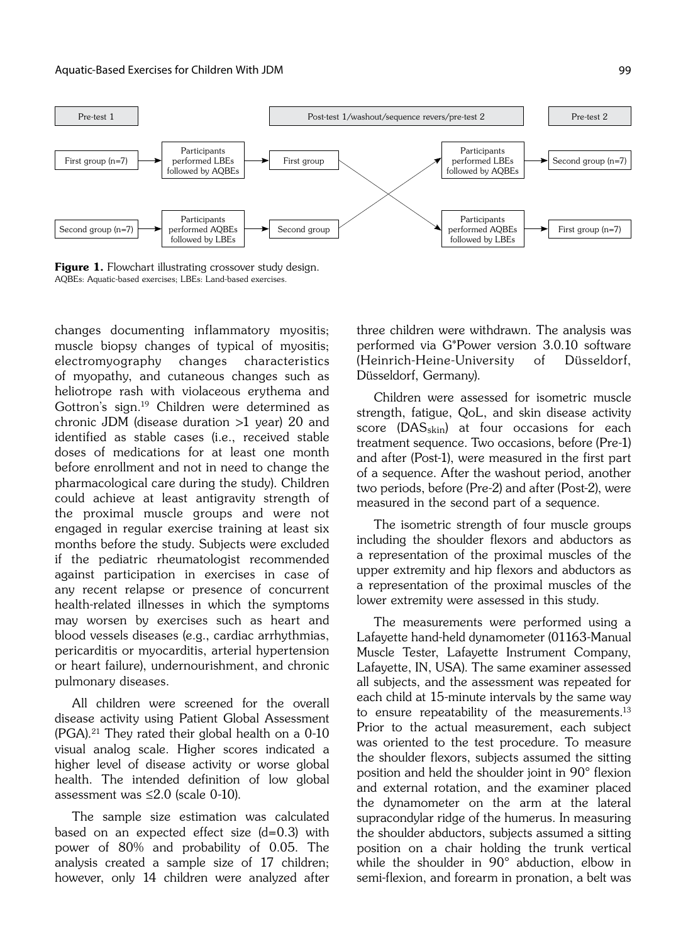

Figure 1. Flowchart illustrating crossover study design. AQBEs: Aquatic-based exercises; LBEs: Land-based exercises.

changes documenting inflammatory myositis; muscle biopsy changes of typical of myositis; electromyography changes characteristics of myopathy, and cutaneous changes such as heliotrope rash with violaceous erythema and Gottron's sign.19 Children were determined as chronic JDM (disease duration >1 year) 20 and identified as stable cases (i.e., received stable doses of medications for at least one month before enrollment and not in need to change the pharmacological care during the study). Children could achieve at least antigravity strength of the proximal muscle groups and were not engaged in regular exercise training at least six months before the study. Subjects were excluded if the pediatric rheumatologist recommended against participation in exercises in case of any recent relapse or presence of concurrent health-related illnesses in which the symptoms may worsen by exercises such as heart and blood vessels diseases (e.g., cardiac arrhythmias, pericarditis or myocarditis, arterial hypertension or heart failure), undernourishment, and chronic pulmonary diseases.

All children were screened for the overall disease activity using Patient Global Assessment  $(PGA).<sup>21</sup>$  They rated their global health on a 0-10 visual analog scale. Higher scores indicated a higher level of disease activity or worse global health. The intended definition of low global assessment was ≤2.0 (scale 0-10).

The sample size estimation was calculated based on an expected effect size (d=0.3) with power of 80% and probability of 0.05. The analysis created a sample size of 17 children; however, only 14 children were analyzed after three children were withdrawn. The analysis was performed via G\*Power version 3.0.10 software (Heinrich-Heine-University of Düsseldorf, Düsseldorf, Germany).

Children were assessed for isometric muscle strength, fatigue, QoL, and skin disease activity score (DAS<sub>skin</sub>) at four occasions for each treatment sequence. Two occasions, before (Pre-1) and after (Post-1), were measured in the first part of a sequence. After the washout period, another two periods, before (Pre-2) and after (Post-2), were measured in the second part of a sequence.

The isometric strength of four muscle groups including the shoulder flexors and abductors as a representation of the proximal muscles of the upper extremity and hip flexors and abductors as a representation of the proximal muscles of the lower extremity were assessed in this study.

The measurements were performed using a Lafayette hand-held dynamometer (01163-Manual Muscle Tester, Lafayette Instrument Company, Lafayette, IN, USA). The same examiner assessed all subjects, and the assessment was repeated for each child at 15-minute intervals by the same way to ensure repeatability of the measurements.<sup>13</sup> Prior to the actual measurement, each subject was oriented to the test procedure. To measure the shoulder flexors, subjects assumed the sitting position and held the shoulder joint in 90° flexion and external rotation, and the examiner placed the dynamometer on the arm at the lateral supracondylar ridge of the humerus. In measuring the shoulder abductors, subjects assumed a sitting position on a chair holding the trunk vertical while the shoulder in 90° abduction, elbow in semi-flexion, and forearm in pronation, a belt was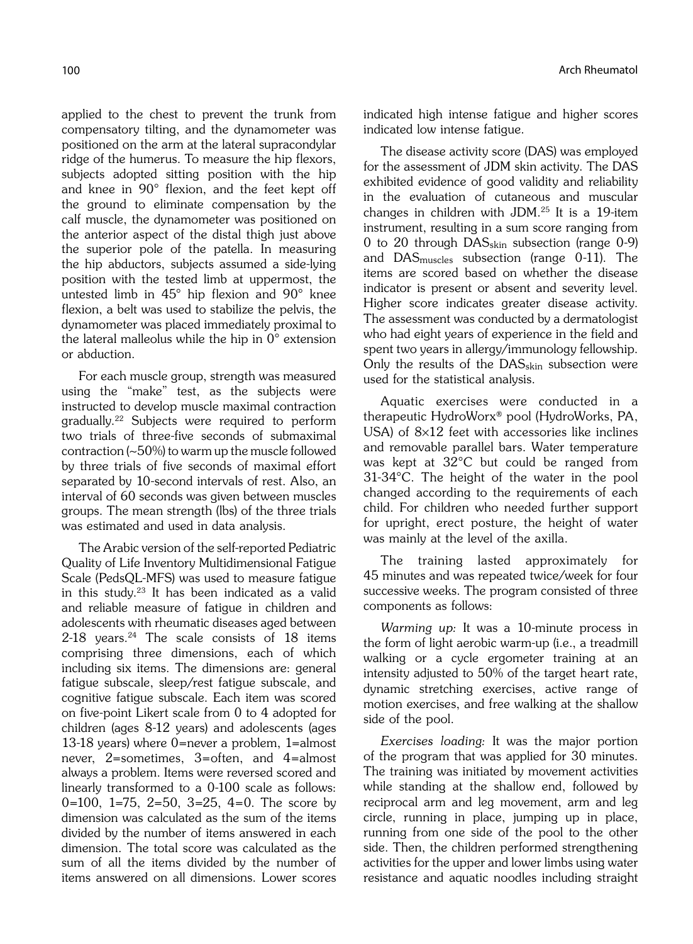applied to the chest to prevent the trunk from compensatory tilting, and the dynamometer was positioned on the arm at the lateral supracondylar ridge of the humerus. To measure the hip flexors, subjects adopted sitting position with the hip and knee in 90° flexion, and the feet kept off the ground to eliminate compensation by the calf muscle, the dynamometer was positioned on the anterior aspect of the distal thigh just above the superior pole of the patella. In measuring the hip abductors, subjects assumed a side-lying position with the tested limb at uppermost, the untested limb in 45° hip flexion and 90° knee flexion, a belt was used to stabilize the pelvis, the dynamometer was placed immediately proximal to the lateral malleolus while the hip in 0° extension or abduction.

For each muscle group, strength was measured using the "make" test, as the subjects were instructed to develop muscle maximal contraction gradually.22 Subjects were required to perform two trials of three-five seconds of submaximal contraction (~50%) to warm up the muscle followed by three trials of five seconds of maximal effort separated by 10-second intervals of rest. Also, an interval of 60 seconds was given between muscles groups. The mean strength (lbs) of the three trials was estimated and used in data analysis.

The Arabic version of the self-reported Pediatric Quality of Life Inventory Multidimensional Fatigue Scale (PedsQL-MFS) was used to measure fatigue in this study. $23$  It has been indicated as a valid and reliable measure of fatigue in children and adolescents with rheumatic diseases aged between  $2-18$  years.<sup>24</sup> The scale consists of 18 items comprising three dimensions, each of which including six items. The dimensions are: general fatigue subscale, sleep/rest fatigue subscale, and cognitive fatigue subscale. Each item was scored on five-point Likert scale from 0 to 4 adopted for children (ages 8-12 years) and adolescents (ages 13-18 years) where 0=never a problem, 1=almost never, 2=sometimes, 3=often, and 4=almost always a problem. Items were reversed scored and linearly transformed to a 0-100 scale as follows: 0=100, 1=75, 2=50, 3=25, 4=0. The score by dimension was calculated as the sum of the items divided by the number of items answered in each dimension. The total score was calculated as the sum of all the items divided by the number of items answered on all dimensions. Lower scores indicated high intense fatigue and higher scores indicated low intense fatigue.

The disease activity score (DAS) was employed for the assessment of JDM skin activity. The DAS exhibited evidence of good validity and reliability in the evaluation of cutaneous and muscular changes in children with JDM.25 It is a 19-item instrument, resulting in a sum score ranging from 0 to 20 through DASskin subsection (range 0-9) and  $DAS_{muscles}$  subsection (range 0-11). The items are scored based on whether the disease indicator is present or absent and severity level. Higher score indicates greater disease activity. The assessment was conducted by a dermatologist who had eight years of experience in the field and spent two years in allergy/immunology fellowship. Only the results of the  $DAS<sub>skin</sub>$  subsection were used for the statistical analysis.

Aquatic exercises were conducted in a therapeutic HydroWorx® pool (HydroWorks, PA, USA) of  $8\times12$  feet with accessories like inclines and removable parallel bars. Water temperature was kept at 32°C but could be ranged from 31-34°C. The height of the water in the pool changed according to the requirements of each child. For children who needed further support for upright, erect posture, the height of water was mainly at the level of the axilla.

The training lasted approximately for 45 minutes and was repeated twice/week for four successive weeks. The program consisted of three components as follows:

Warming up: It was a 10-minute process in the form of light aerobic warm-up (i.e., a treadmill walking or a cycle ergometer training at an intensity adjusted to 50% of the target heart rate, dynamic stretching exercises, active range of motion exercises, and free walking at the shallow side of the pool.

Exercises loading: It was the major portion of the program that was applied for 30 minutes. The training was initiated by movement activities while standing at the shallow end, followed by reciprocal arm and leg movement, arm and leg circle, running in place, jumping up in place, running from one side of the pool to the other side. Then, the children performed strengthening activities for the upper and lower limbs using water resistance and aquatic noodles including straight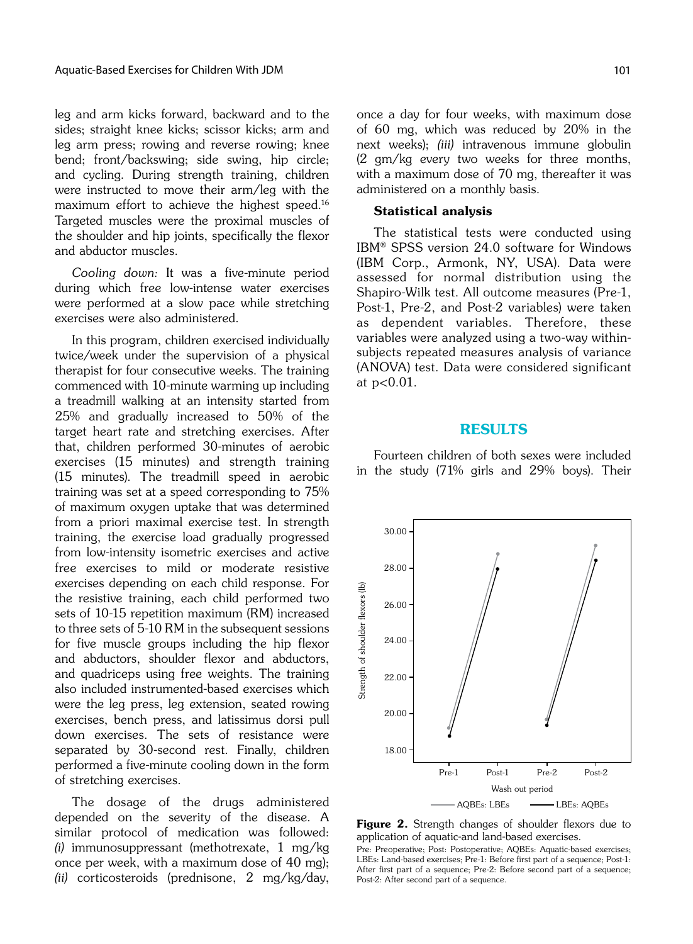leg and arm kicks forward, backward and to the sides; straight knee kicks; scissor kicks; arm and leg arm press; rowing and reverse rowing; knee bend; front/backswing; side swing, hip circle; and cycling. During strength training, children were instructed to move their arm/leg with the maximum effort to achieve the highest speed.16 Targeted muscles were the proximal muscles of the shoulder and hip joints, specifically the flexor and abductor muscles.

Cooling down: It was a five-minute period during which free low-intense water exercises were performed at a slow pace while stretching exercises were also administered.

In this program, children exercised individually twice/week under the supervision of a physical therapist for four consecutive weeks. The training commenced with 10-minute warming up including a treadmill walking at an intensity started from 25% and gradually increased to 50% of the target heart rate and stretching exercises. After that, children performed 30-minutes of aerobic exercises (15 minutes) and strength training (15 minutes). The treadmill speed in aerobic training was set at a speed corresponding to 75% of maximum oxygen uptake that was determined from a priori maximal exercise test. In strength training, the exercise load gradually progressed from low-intensity isometric exercises and active free exercises to mild or moderate resistive exercises depending on each child response. For the resistive training, each child performed two sets of 10-15 repetition maximum (RM) increased to three sets of 5-10 RM in the subsequent sessions for five muscle groups including the hip flexor and abductors, shoulder flexor and abductors, and quadriceps using free weights. The training also included instrumented-based exercises which were the leg press, leg extension, seated rowing exercises, bench press, and latissimus dorsi pull down exercises. The sets of resistance were separated by 30-second rest. Finally, children performed a five-minute cooling down in the form of stretching exercises.

The dosage of the drugs administered depended on the severity of the disease. A similar protocol of medication was followed: (i) immunosuppressant (methotrexate, 1 mg/kg once per week, with a maximum dose of 40 mg); (ii) corticosteroids (prednisone, 2 mg/kg/day, once a day for four weeks, with maximum dose of 60 mg, which was reduced by 20% in the next weeks); (iii) intravenous immune globulin (2 gm/kg every two weeks for three months, with a maximum dose of 70 mg, thereafter it was administered on a monthly basis.

### Statistical analysis

The statistical tests were conducted using IBM® SPSS version 24.0 software for Windows (IBM Corp., Armonk, NY, USA). Data were assessed for normal distribution using the Shapiro-Wilk test. All outcome measures (Pre-1, Post-1, Pre-2, and Post-2 variables) were taken as dependent variables. Therefore, these variables were analyzed using a two-way withinsubjects repeated measures analysis of variance (ANOVA) test. Data were considered significant at p<0.01.

### RESULTS

Fourteen children of both sexes were included in the study (71% girls and 29% boys). Their



**Figure 2.** Strength changes of shoulder flexors due to application of aquatic-and land-based exercises.

Pre: Preoperative; Post: Postoperative; AQBEs: Aquatic-based exercises; LBEs: Land-based exercises; Pre-1: Before first part of a sequence; Post-1: After first part of a sequence; Pre-2: Before second part of a sequence; Post-2: After second part of a sequence.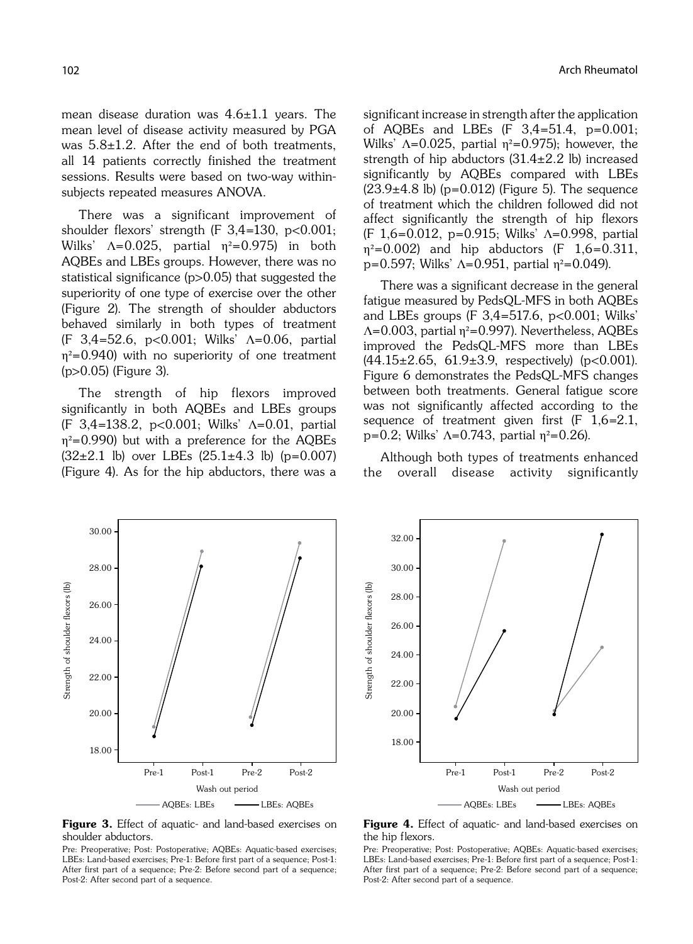mean disease duration was  $4.6 \pm 1.1$  years. The mean level of disease activity measured by PGA was  $5.8\pm1.2$ . After the end of both treatments, all 14 patients correctly finished the treatment sessions. Results were based on two-way withinsubjects repeated measures ANOVA.

There was a significant improvement of shoulder flexors' strength (F  $3,4=130$ ,  $p<0.001$ ; Wilks'  $\Lambda = 0.025$ , partial  $\eta^2 = 0.975$ ) in both AQBEs and LBEs groups. However, there was no statistical significance (p>0.05) that suggested the superiority of one type of exercise over the other (Figure 2). The strength of shoulder abductors behaved similarly in both types of treatment (F 3,4=52.6, p<0.001; Wilks' Λ=0.06, partial  $n^2$ =0.940) with no superiority of one treatment (p>0.05) (Figure 3).

The strength of hip flexors improved significantly in both AQBEs and LBEs groups (F 3,4=138.2, p<0.001; Wilks' Λ=0.01, partial  $\eta^2$ =0.990) but with a preference for the AQBEs  $(32\pm2.1 \text{ lb})$  over LBEs  $(25.1\pm4.3 \text{ lb})$  (p=0.007) (Figure 4). As for the hip abductors, there was a significant increase in strength after the application of AQBEs and LBEs (F 3,4=51.4, p=0.001; Wilks'  $\Lambda$ =0.025, partial  $\eta$ <sup>2</sup>=0.975); however, the strength of hip abductors  $(31.4 \pm 2.2)$  lb) increased significantly by AQBEs compared with LBEs  $(23.9±4.8$  lb) (p=0.012) (Figure 5). The sequence of treatment which the children followed did not affect significantly the strength of hip flexors (F 1,6=0.012, p=0.915; Wilks' Λ=0.998, partial  $\eta^2 = 0.002$ ) and hip abductors (F 1,6=0.311, p=0.597; Wilks'  $\Lambda$ =0.951, partial  $\eta^2$ =0.049).

There was a significant decrease in the general fatigue measured by PedsQL-MFS in both AQBEs and LBEs groups (F  $3,4=517.6$ ,  $p<0.001$ ; Wilks' Λ=0.003, partial η²=0.997). Nevertheless, AQBEs improved the PedsQL-MFS more than LBEs (44.15±2.65, 61.9±3.9, respectively) (p<0.001). Figure 6 demonstrates the PedsQL-MFS changes between both treatments. General fatigue score was not significantly affected according to the sequence of treatment given first  $(F \ 1.6=2.1,$ p=0.2; Wilks'  $\Lambda$ =0.743, partial  $\eta^2$ =0.26).

Although both types of treatments enhanced the overall disease activity significantly





**Figure 3.** Effect of aquatic- and land-based exercises on shoulder abductors.

Pre: Preoperative; Post: Postoperative; AQBEs: Aquatic-based exercises; LBEs: Land-based exercises; Pre-1: Before first part of a sequence; Post-1: After first part of a sequence; Pre-2: Before second part of a sequence; Post-2: After second part of a sequence.

#### **Figure 4.** Effect of aquatic- and land-based exercises on the hip flexors.

Pre: Preoperative; Post: Postoperative; AQBEs: Aquatic-based exercises; LBEs: Land-based exercises; Pre-1: Before first part of a sequence; Post-1: After first part of a sequence; Pre-2: Before second part of a sequence; Post-2: After second part of a sequence.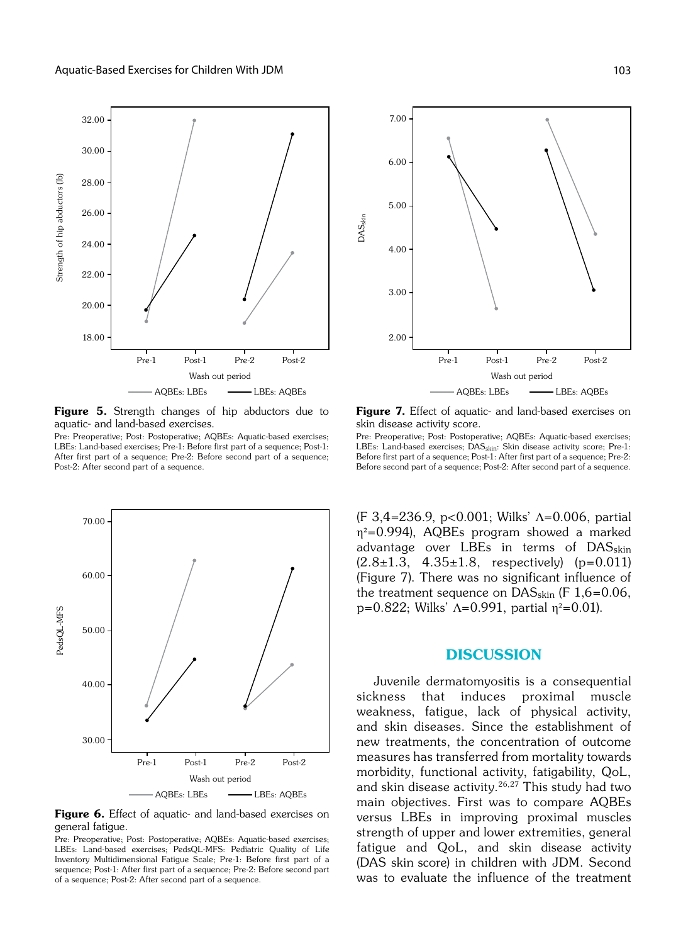

Figure 5. Strength changes of hip abductors due to aquatic- and land-based exercises.

Pre: Preoperative; Post: Postoperative; AQBEs: Aquatic-based exercises; LBEs: Land-based exercises; Pre-1: Before first part of a sequence; Post-1: After first part of a sequence; Pre-2: Before second part of a sequence; Post-2: After second part of a sequence.



Figure 6. Effect of aquatic- and land-based exercises on general fatigue.

Pre: Preoperative; Post: Postoperative; AQBEs: Aquatic-based exercises; LBEs: Land-based exercises; PedsQL-MFS: Pediatric Quality of Life Inventory Multidimensional Fatigue Scale; Pre-1: Before first part of a sequence; Post-1: After first part of a sequence; Pre-2: Before second part of a sequence; Post-2: After second part of a sequence.



Figure 7. Effect of aquatic- and land-based exercises on skin disease activity score.

Pre: Preoperative; Post: Postoperative; AQBEs: Aquatic-based exercises; LBEs: Land-based exercises; DAS<sub>skin</sub>: Skin disease activity score; Pre-1: Before first part of a sequence; Post-1: After first part of a sequence; Pre-2: Before second part of a sequence; Post-2: After second part of a sequence.

(F 3,4=236.9, p<0.001; Wilks' Λ=0.006, partial η²=0.994), AQBEs program showed a marked advantage over LBEs in terms of DAS<sub>skin</sub>  $(2.8\pm1.3, 4.35\pm1.8,$  respectively)  $(p=0.011)$ (Figure 7). There was no significant influence of the treatment sequence on  $DAS<sub>skin</sub>$  (F 1,6=0.06, p=0.822; Wilks'  $\Lambda$ =0.991, partial  $\eta^2$ =0.01).

## **DISCUSSION**

Juvenile dermatomyositis is a consequential sickness that induces proximal muscle weakness, fatigue, lack of physical activity, and skin diseases. Since the establishment of new treatments, the concentration of outcome measures has transferred from mortality towards morbidity, functional activity, fatigability, QoL, and skin disease activity.<sup>26,27</sup> This study had two main objectives. First was to compare AQBEs versus LBEs in improving proximal muscles strength of upper and lower extremities, general fatigue and QoL, and skin disease activity (DAS skin score) in children with JDM. Second was to evaluate the influence of the treatment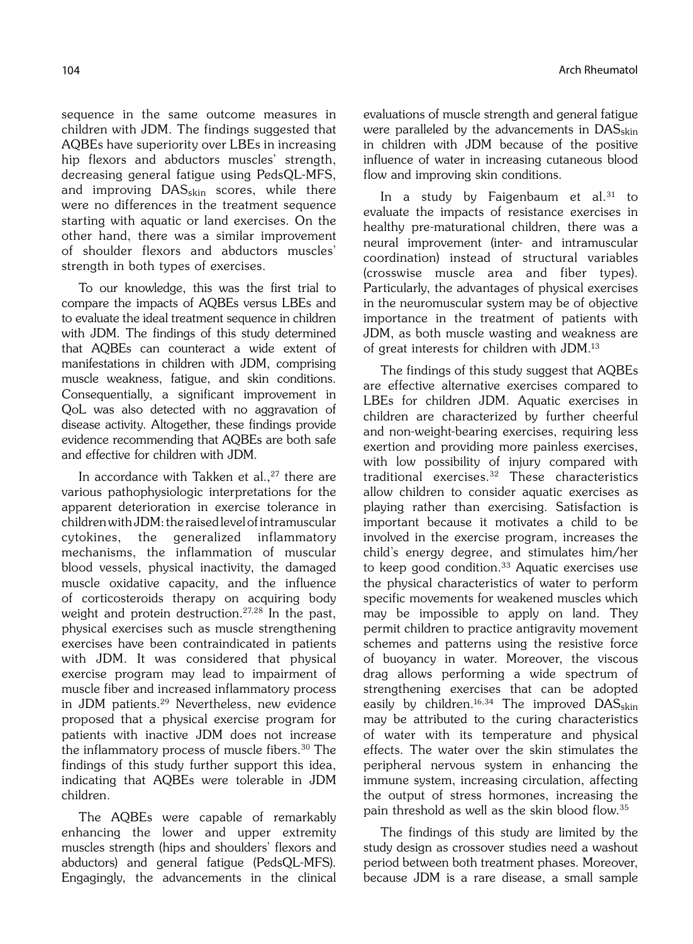sequence in the same outcome measures in children with JDM. The findings suggested that AQBEs have superiority over LBEs in increasing hip flexors and abductors muscles' strength, decreasing general fatigue using PedsQL-MFS, and improving DAS<sub>skin</sub> scores, while there were no differences in the treatment sequence starting with aquatic or land exercises. On the other hand, there was a similar improvement of shoulder flexors and abductors muscles' strength in both types of exercises.

To our knowledge, this was the first trial to compare the impacts of AQBEs versus LBEs and to evaluate the ideal treatment sequence in children with JDM. The findings of this study determined that AQBEs can counteract a wide extent of manifestations in children with JDM, comprising muscle weakness, fatigue, and skin conditions. Consequentially, a significant improvement in QoL was also detected with no aggravation of disease activity. Altogether, these findings provide evidence recommending that AQBEs are both safe and effective for children with JDM.

In accordance with Takken et al.,  $27$  there are various pathophysiologic interpretations for the apparent deterioration in exercise tolerance in children with JDM: the raised level of intramuscular cytokines, the generalized inflammatory mechanisms, the inflammation of muscular blood vessels, physical inactivity, the damaged muscle oxidative capacity, and the influence of corticosteroids therapy on acquiring body weight and protein destruction.<sup>27,28</sup> In the past, physical exercises such as muscle strengthening exercises have been contraindicated in patients with JDM. It was considered that physical exercise program may lead to impairment of muscle fiber and increased inflammatory process in JDM patients.29 Nevertheless, new evidence proposed that a physical exercise program for patients with inactive JDM does not increase the inflammatory process of muscle fibers.<sup>30</sup> The findings of this study further support this idea, indicating that AQBEs were tolerable in JDM children.

The AQBEs were capable of remarkably enhancing the lower and upper extremity muscles strength (hips and shoulders' flexors and abductors) and general fatigue (PedsQL-MFS). Engagingly, the advancements in the clinical evaluations of muscle strength and general fatigue were paralleled by the advancements in  $DAS<sub>skin</sub>$ in children with JDM because of the positive influence of water in increasing cutaneous blood flow and improving skin conditions.

In a study by Faigenbaum et al. $31$  to evaluate the impacts of resistance exercises in healthy pre-maturational children, there was a neural improvement (inter- and intramuscular coordination) instead of structural variables (crosswise muscle area and fiber types). Particularly, the advantages of physical exercises in the neuromuscular system may be of objective importance in the treatment of patients with JDM, as both muscle wasting and weakness are of great interests for children with JDM.13

The findings of this study suggest that AQBEs are effective alternative exercises compared to LBEs for children JDM. Aquatic exercises in children are characterized by further cheerful and non-weight-bearing exercises, requiring less exertion and providing more painless exercises, with low possibility of injury compared with traditional exercises.32 These characteristics allow children to consider aquatic exercises as playing rather than exercising. Satisfaction is important because it motivates a child to be involved in the exercise program, increases the child's energy degree, and stimulates him/her to keep good condition.<sup>33</sup> Aquatic exercises use the physical characteristics of water to perform specific movements for weakened muscles which may be impossible to apply on land. They permit children to practice antigravity movement schemes and patterns using the resistive force of buoyancy in water. Moreover, the viscous drag allows performing a wide spectrum of strengthening exercises that can be adopted easily by children.<sup>16,34</sup> The improved  $DAS_{skin}$ may be attributed to the curing characteristics of water with its temperature and physical effects. The water over the skin stimulates the peripheral nervous system in enhancing the immune system, increasing circulation, affecting the output of stress hormones, increasing the pain threshold as well as the skin blood flow.35

The findings of this study are limited by the study design as crossover studies need a washout period between both treatment phases. Moreover, because JDM is a rare disease, a small sample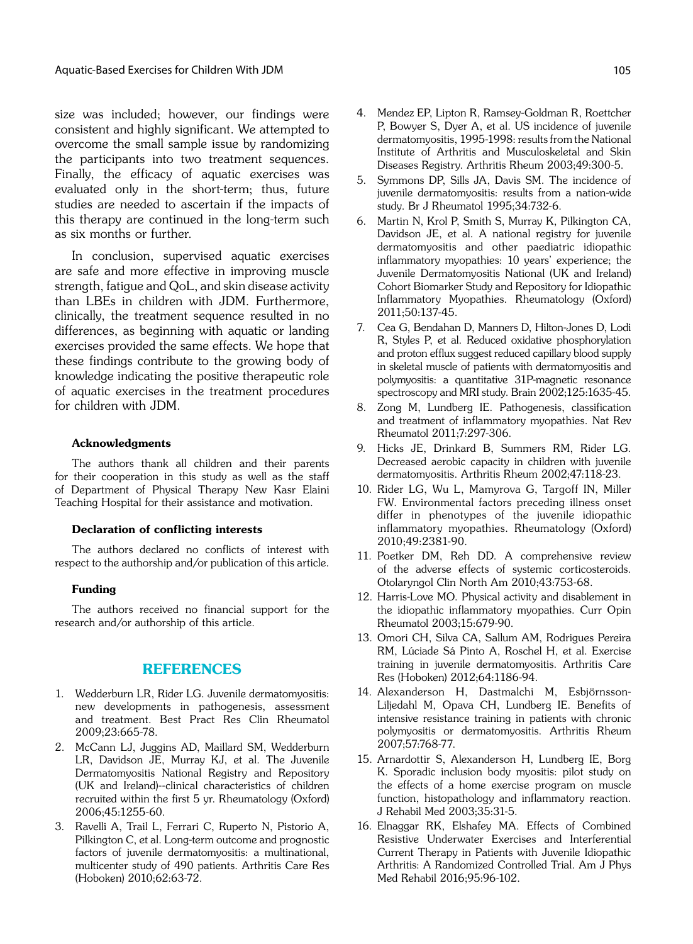size was included; however, our findings were consistent and highly significant. We attempted to overcome the small sample issue by randomizing the participants into two treatment sequences. Finally, the efficacy of aquatic exercises was evaluated only in the short-term; thus, future studies are needed to ascertain if the impacts of this therapy are continued in the long-term such as six months or further.

In conclusion, supervised aquatic exercises are safe and more effective in improving muscle strength, fatigue and QoL, and skin disease activity than LBEs in children with JDM. Furthermore, clinically, the treatment sequence resulted in no differences, as beginning with aquatic or landing exercises provided the same effects. We hope that these findings contribute to the growing body of knowledge indicating the positive therapeutic role of aquatic exercises in the treatment procedures for children with JDM.

### Acknowledgments

The authors thank all children and their parents for their cooperation in this study as well as the staff of Department of Physical Therapy New Kasr Elaini Teaching Hospital for their assistance and motivation.

### Declaration of conflicting interests

The authors declared no conflicts of interest with respect to the authorship and/or publication of this article.

### Funding

The authors received no financial support for the research and/or authorship of this article.

### REFERENCES

- 1. Wedderburn LR, Rider LG. Juvenile dermatomyositis: new developments in pathogenesis, assessment and treatment. Best Pract Res Clin Rheumatol 2009;23:665-78.
- 2. McCann LJ, Juggins AD, Maillard SM, Wedderburn LR, Davidson JE, Murray KJ, et al. The Juvenile Dermatomyositis National Registry and Repository (UK and Ireland)--clinical characteristics of children recruited within the first 5 yr. Rheumatology (Oxford) 2006;45:1255-60.
- 3. Ravelli A, Trail L, Ferrari C, Ruperto N, Pistorio A, Pilkington C, et al. Long-term outcome and prognostic factors of juvenile dermatomyositis: a multinational, multicenter study of 490 patients. Arthritis Care Res (Hoboken) 2010;62:63-72.
- 4. Mendez EP, Lipton R, Ramsey-Goldman R, Roettcher P, Bowyer S, Dyer A, et al. US incidence of juvenile dermatomyositis, 1995-1998: results from the National Institute of Arthritis and Musculoskeletal and Skin Diseases Registry. Arthritis Rheum 2003;49:300-5.
- 5. Symmons DP, Sills JA, Davis SM. The incidence of juvenile dermatomyositis: results from a nation-wide study. Br J Rheumatol 1995;34:732-6.
- 6. Martin N, Krol P, Smith S, Murray K, Pilkington CA, Davidson JE, et al. A national registry for juvenile dermatomyositis and other paediatric idiopathic inflammatory myopathies: 10 years' experience; the Juvenile Dermatomyositis National (UK and Ireland) Cohort Biomarker Study and Repository for Idiopathic Inflammatory Myopathies. Rheumatology (Oxford) 2011;50:137-45.
- 7. Cea G, Bendahan D, Manners D, Hilton-Jones D, Lodi R, Styles P, et al. Reduced oxidative phosphorylation and proton efflux suggest reduced capillary blood supply in skeletal muscle of patients with dermatomyositis and polymyositis: a quantitative 31P-magnetic resonance spectroscopy and MRI study. Brain 2002;125:1635-45.
- 8. Zong M, Lundberg IE. Pathogenesis, classification and treatment of inflammatory myopathies. Nat Rev Rheumatol 2011;7:297-306.
- 9. Hicks JE, Drinkard B, Summers RM, Rider LG. Decreased aerobic capacity in children with juvenile dermatomyositis. Arthritis Rheum 2002;47:118-23.
- 10. Rider LG, Wu L, Mamyrova G, Targoff IN, Miller FW. Environmental factors preceding illness onset differ in phenotypes of the juvenile idiopathic inflammatory myopathies. Rheumatology (Oxford) 2010;49:2381-90.
- 11. Poetker DM, Reh DD. A comprehensive review of the adverse effects of systemic corticosteroids. Otolaryngol Clin North Am 2010;43:753-68.
- 12. Harris-Love MO. Physical activity and disablement in the idiopathic inflammatory myopathies. Curr Opin Rheumatol 2003;15:679-90.
- 13. Omori CH, Silva CA, Sallum AM, Rodrigues Pereira RM, Lúciade Sá Pinto A, Roschel H, et al. Exercise training in juvenile dermatomyositis. Arthritis Care Res (Hoboken) 2012;64:1186-94.
- 14. Alexanderson H, Dastmalchi M, Esbjörnsson-Liljedahl M, Opava CH, Lundberg IE. Benefits of intensive resistance training in patients with chronic polymyositis or dermatomyositis. Arthritis Rheum 2007;57:768-77.
- 15. Arnardottir S, Alexanderson H, Lundberg IE, Borg K. Sporadic inclusion body myositis: pilot study on the effects of a home exercise program on muscle function, histopathology and inflammatory reaction. J Rehabil Med 2003;35:31-5.
- 16. Elnaggar RK, Elshafey MA. Effects of Combined Resistive Underwater Exercises and Interferential Current Therapy in Patients with Juvenile Idiopathic Arthritis: A Randomized Controlled Trial. Am J Phys Med Rehabil 2016;95:96-102.